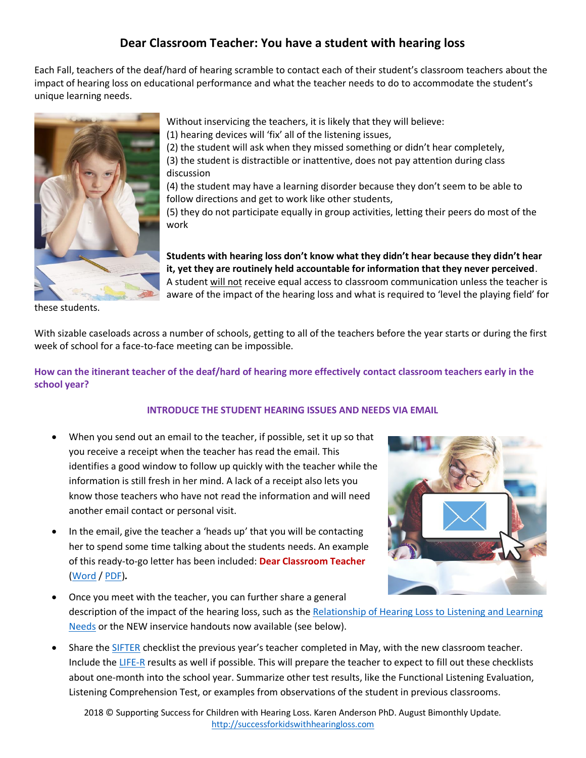## **Dear Classroom Teacher: You have a student with hearing loss**

Each Fall, teachers of the deaf/hard of hearing scramble to contact each of their student's classroom teachers about the impact of hearing loss on educational performance and what the teacher needs to do to accommodate the student's unique learning needs.



these students.

Without inservicing the teachers, it is likely that they will believe:

(1) hearing devices will 'fix' all of the listening issues,

(2) the student will ask when they missed something or didn't hear completely, (3) the student is distractible or inattentive, does not pay attention during class discussion

(4) the student may have a learning disorder because they don't seem to be able to follow directions and get to work like other students,

(5) they do not participate equally in group activities, letting their peers do most of the work

**Students with hearing loss don't know what they didn't hear because they didn't hear it, yet they are routinely held accountable for information that they never perceived**. A student will not receive equal access to classroom communication unless the teacher is aware of the impact of the hearing loss and what is required to 'level the playing field' for

With sizable caseloads across a number of schools, getting to all of the teachers before the year starts or during the first week of school for a face-to-face meeting can be impossible.

**How can the itinerant teacher of the deaf/hard of hearing more effectively contact classroom teachers early in the school year?**

## **INTRODUCE THE STUDENT HEARING ISSUES AND NEEDS VIA EMAIL**

- When you send out an email to the teacher, if possible, set it up so that you receive a receipt when the teacher has read the email. This identifies a good window to follow up quickly with the teacher while the information is still fresh in her mind. A lack of a receipt also lets you know those teachers who have not read the information and will need another email contact or personal visit.
- In the email, give the teacher a 'heads up' that you will be contacting her to spend some time talking about the students needs. An example of this ready-to-go letter has been included: **Dear Classroom Teacher** [\(Word](https://successforkidswithhearingloss.com/wp-content/uploads/2018/08/Dear-Classroom-Teacher-Letter.docx) / [PDF\)](https://successforkidswithhearingloss.com/wp-content/uploads/2018/08/Dear-Classroom-Teacher-Letter.pdf)*.*



- Once you meet with the teacher, you can further share a general description of the impact of the hearing loss, such as the [Relationship of Hearing Loss to Listening and Learning](https://successforkidswithhearingloss.com/relationship-hl-listen-learn/)  [Needs](https://successforkidswithhearingloss.com/relationship-hl-listen-learn/) or the NEW inservice handouts now available (see below).
- Share the [SIFTER](https://successforkidswithhearingloss.com/for-professionals/tests-informal-assessments-for-parents-students-teachers/) checklist the previous year's teacher completed in May, with the new classroom teacher. Include th[e LIFE-R](http://successforkidswithhearingloss.com/for-professionals/listening-inventory-for-education-revised-life-r/) results as well if possible. This will prepare the teacher to expect to fill out these checklists about one-month into the school year. Summarize other test results, like the Functional Listening Evaluation, Listening Comprehension Test, or examples from observations of the student in previous classrooms.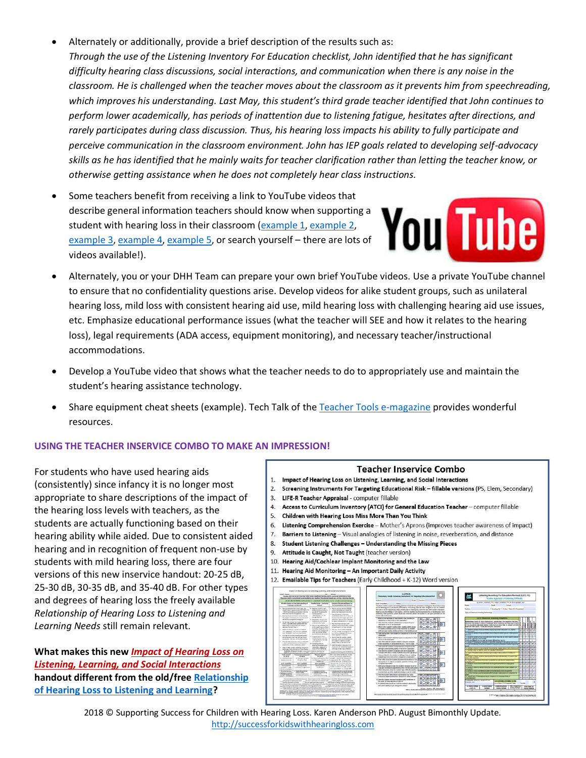- Alternately or additionally, provide a brief description of the results such as: *Through the use of the Listening Inventory For Education checklist, John identified that he has significant difficulty hearing class discussions, social interactions, and communication when there is any noise in the classroom. He is challenged when the teacher moves about the classroom as it prevents him from speechreading, which improves his understanding. Last May, this student's third grade teacher identified that John continues to perform lower academically, has periods of inattention due to listening fatigue, hesitates after directions, and rarely participates during class discussion. Thus, his hearing loss impacts his ability to fully participate and perceive communication in the classroom environment. John has IEP goals related to developing self-advocacy skills as he has identified that he mainly waits for teacher clarification rather than letting the teacher know, or otherwise getting assistance when he does not completely hear class instructions.*
- Some teachers benefit from receiving a link to YouTube videos that describe general information teachers should know when supporting a student with hearing loss in their classroom [\(example 1,](https://www.youtube.com/watch?v=JwWAHyD0f4w) [example 2,](https://www.youtube.com/watch?v=jylb7TDn2Tk) [example 3,](https://www.youtube.com/watch?v=ln8NHzVfJkQ) [example 4,](https://www.youtube.com/watch?v=ISWkl29SpwU) [example 5,](https://www.youtube.com/watch?v=VJLAhFaslUI) or search yourself – there are lots of videos available!).



- Alternately, you or your DHH Team can prepare your own brief YouTube videos. Use a private YouTube channel to ensure that no confidentiality questions arise. Develop videos for alike student groups, such as unilateral hearing loss, mild loss with consistent hearing aid use, mild hearing loss with challenging hearing aid use issues, etc. Emphasize educational performance issues (what the teacher will SEE and how it relates to the hearing loss), legal requirements (ADA access, equipment monitoring), and necessary teacher/instructional accommodations.
- Develop a YouTube video that shows what the teacher needs to do to appropriately use and maintain the student's hearing assistance technology.
- Share equipment cheat sheets (example). Tech Talk of the [Teacher Tools e-magazine](http://teachertools.successforkidswithhearingloss.com/) provides wonderful resources.

## **USING THE TEACHER INSERVICE COMBO TO MAKE AN IMPRESSION!**

For students who have used hearing aids (consistently) since infancy it is no longer most appropriate to share descriptions of the impact of the hearing loss levels with teachers, as the students are actually functioning based on their hearing ability while aided. Due to consistent aided hearing and in recognition of frequent non-use by students with mild hearing loss, there are four versions of this new inservice handout: 20-25 dB, 25-30 dB, 30-35 dB, and 35-40 dB. For other types and degrees of hearing loss the freely available *Relationship of Hearing Loss to Listening and Learning Needs* still remain relevant.

**What makes this new** *[Impact of Hearing Loss on](https://successforkidswithhearingloss.com/product/teacher-inservice-combo/)  Listening, [Learning, and Social Interactions](https://successforkidswithhearingloss.com/product/teacher-inservice-combo/)* **handout different from the old/fre[e Relationship](https://successforkidswithhearingloss.com/relationship-hl-listen-learn/)  [of Hearing Loss to Listening and Learning?](https://successforkidswithhearingloss.com/relationship-hl-listen-learn/)** 

## **Teacher Inservice Combo**

- 1. Impact of Hearing Loss on Listening, Learning, and Social Interactions
- 2. Screening Instruments For Targeting Educational Risk fillable versions (PS, Elem, Secondary)
- 3. LIFE-R Teacher Appraisal computer fillable
- 4. Access to Curriculum Inventory (ATCI) for General Education Teacher computer fillable
- 5. Children with Hearing Loss Miss More Than You Think
- 6. Listening Comprehension Exercise Mother's Aprons (improves teacher awareness of impact)
- 7. Barriers to Listening Visual analogies of listening in noise, reverberation, and distance
- 8. Student Listening Challenges Understanding the Missing Pieces
- 9. Attitude is Caught, Not Taught (teacher version)
- 10. Hearing Aid/Cochlear Implant Monitoring and the Law
- 11. Hearing Aid Monitoring An Important Daily Activity
- 12. Emailable Tips for Teachers (Early Childhood + K-12) Word version



2018 © Supporting Success for Children with Hearing Loss. Karen Anderson PhD. August Bimonthly Update. [http://successforkidswithhearingloss.com](http://successforkidswithhearingloss.com/)